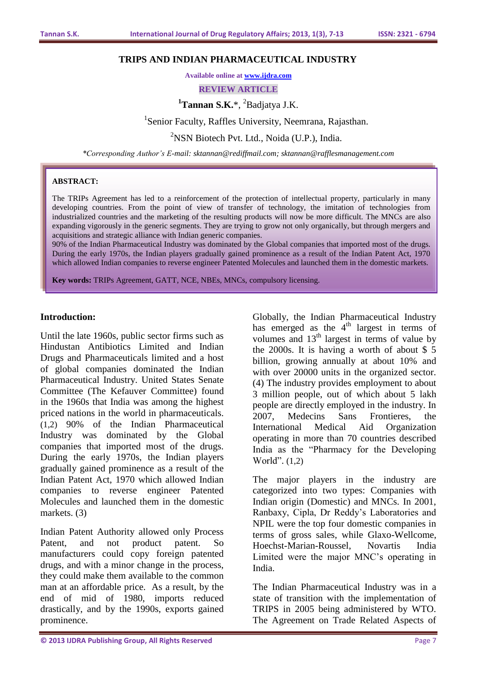#### **TRIPS AND INDIAN PHARMACEUTICAL INDUSTRY**

**Available online at [www.ijdra.com](http://www.ijdra.com/)**

**REVIEW ARTICLE**

# <sup>1</sup>Tannan S.K.\*, <sup>2</sup>Badjatya J.K.

<sup>1</sup>Senior Faculty, Raffles University, Neemrana, Rajasthan.

 $2$ NSN Biotech Pvt. Ltd., Noida (U.P.), India.

*\*Corresponding Author's E-mail: sktannan@rediffmail.com; sktannan@rafflesmanagement.com*

#### **ABSTRACT:**

The TRIPs Agreement has led to a reinforcement of the protection of intellectual property, particularly in many developing countries. From the point of view of transfer of technology, the imitation of technologies from industrialized countries and the marketing of the resulting products will now be more difficult. The MNCs are also expanding vigorously in the generic segments. They are trying to grow not only organically, but through mergers and acquisitions and strategic alliance with Indian generic companies.

90% of the Indian Pharmaceutical Industry was dominated by the Global companies that imported most of the drugs. During the early 1970s, the Indian players gradually gained prominence as a result of the Indian Patent Act, 1970 which allowed Indian companies to reverse engineer Patented Molecules and launched them in the domestic markets.

**Key words:** TRIPs Agreement, GATT, NCE, NBEs, MNCs, compulsory licensing.

### **Introduction:**

Until the late 1960s, public sector firms such as Hindustan Antibiotics Limited and Indian Drugs and Pharmaceuticals limited and a host of global companies dominated the Indian Pharmaceutical Industry. United States Senate Committee (The Kefauver Committee) found in the 1960s that India was among the highest priced nations in the world in pharmaceuticals. (1,2) 90% of the Indian Pharmaceutical Industry was dominated by the Global companies that imported most of the drugs. During the early 1970s, the Indian players gradually gained prominence as a result of the Indian Patent Act, 1970 which allowed Indian companies to reverse engineer Patented Molecules and launched them in the domestic markets. (3)

Indian Patent Authority allowed only Process Patent, and not product patent. So manufacturers could copy foreign patented drugs, and with a minor change in the process, they could make them available to the common man at an affordable price. As a result, by the end of mid of 1980, imports reduced drastically, and by the 1990s, exports gained prominence.

Globally, the Indian Pharmaceutical Industry has emerged as the  $4<sup>th</sup>$  largest in terms of volumes and  $13<sup>th</sup>$  largest in terms of value by the 2000s. It is having a worth of about  $$5$ billion, growing annually at about 10% and with over 20000 units in the organized sector. (4) The industry provides employment to about 3 million people, out of which about 5 lakh people are directly employed in the industry. In 2007, Medecins Sans Frontieres, the International Medical Aid Organization operating in more than 70 countries described India as the "Pharmacy for the Developing World". (1,2)

The major players in the industry are categorized into two types: Companies with Indian origin (Domestic) and MNCs. In 2001, Ranbaxy, Cipla, Dr Reddy's Laboratories and NPIL were the top four domestic companies in terms of gross sales, while Glaxo-Wellcome, Hoechst-Marian-Roussel, Novartis India Limited were the major MNC's operating in India.

The Indian Pharmaceutical Industry was in a state of transition with the implementation of TRIPS in 2005 being administered by WTO. The Agreement on Trade Related Aspects of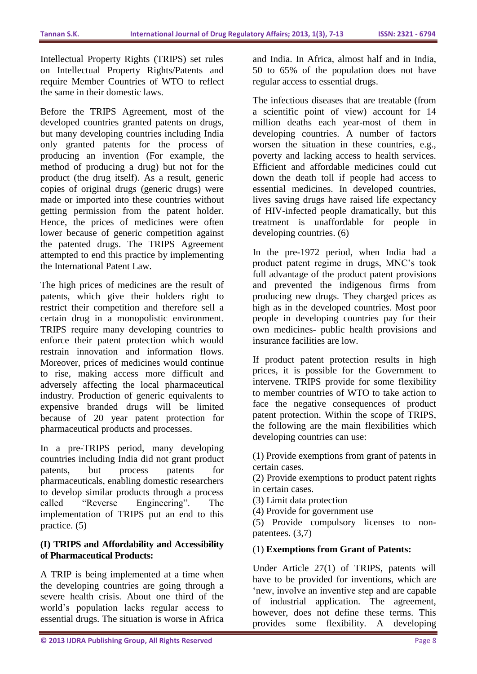Intellectual Property Rights (TRIPS) set rules on Intellectual Property Rights/Patents and require Member Countries of WTO to reflect the same in their domestic laws.

Before the TRIPS Agreement, most of the developed countries granted patents on drugs, but many developing countries including India only granted patents for the process of producing an invention (For example, the method of producing a drug) but not for the product (the drug itself). As a result, generic copies of original drugs (generic drugs) were made or imported into these countries without getting permission from the patent holder. Hence, the prices of medicines were often lower because of generic competition against the patented drugs. The TRIPS Agreement attempted to end this practice by implementing the International Patent Law.

The high prices of medicines are the result of patents, which give their holders right to restrict their competition and therefore sell a certain drug in a monopolistic environment. TRIPS require many developing countries to enforce their patent protection which would restrain innovation and information flows. Moreover, prices of medicines would continue to rise, making access more difficult and adversely affecting the local pharmaceutical industry. Production of generic equivalents to expensive branded drugs will be limited because of 20 year patent protection for pharmaceutical products and processes.

In a pre-TRIPS period, many developing countries including India did not grant product patents, but process patents for pharmaceuticals, enabling domestic researchers to develop similar products through a process called "Reverse Engineering". The implementation of TRIPS put an end to this practice. (5)

### **(I) TRIPS and Affordability and Accessibility of Pharmaceutical Products:**

A TRIP is being implemented at a time when the developing countries are going through a severe health crisis. About one third of the world's population lacks regular access to essential drugs. The situation is worse in Africa

and India. In Africa, almost half and in India, 50 to 65% of the population does not have regular access to essential drugs.

The infectious diseases that are treatable (from a scientific point of view) account for 14 million deaths each year-most of them in developing countries. A number of factors worsen the situation in these countries, e.g., poverty and lacking access to health services. Efficient and affordable medicines could cut down the death toll if people had access to essential medicines. In developed countries, lives saving drugs have raised life expectancy of HIV-infected people dramatically, but this treatment is unaffordable for people in developing countries. (6)

In the pre-1972 period, when India had a product patent regime in drugs, MNC's took full advantage of the product patent provisions and prevented the indigenous firms from producing new drugs. They charged prices as high as in the developed countries. Most poor people in developing countries pay for their own medicines- public health provisions and insurance facilities are low.

If product patent protection results in high prices, it is possible for the Government to intervene. TRIPS provide for some flexibility to member countries of WTO to take action to face the negative consequences of product patent protection. Within the scope of TRIPS, the following are the main flexibilities which developing countries can use:

(1) Provide exemptions from grant of patents in certain cases.

(2) Provide exemptions to product patent rights in certain cases.

(3) Limit data protection

(4) Provide for government use

(5) Provide compulsory licenses to nonpatentees. (3,7)

### (1) **Exemptions from Grant of Patents:**

Under Article 27(1) of TRIPS, patents will have to be provided for inventions, which are 'new, involve an inventive step and are capable of industrial application. The agreement, however, does not define these terms. This provides some flexibility. A developing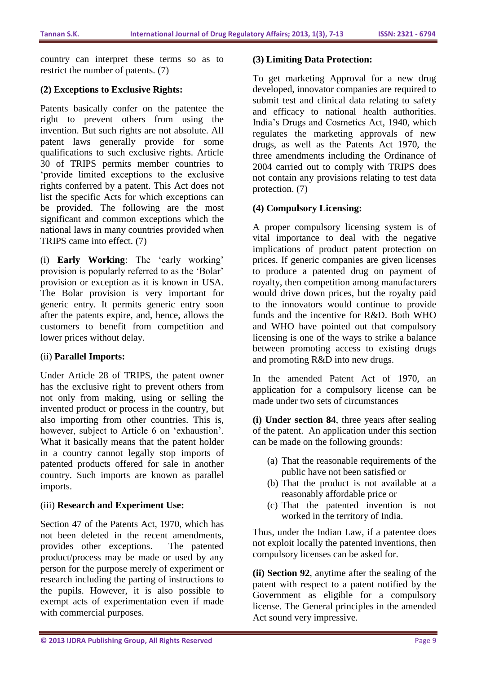country can interpret these terms so as to restrict the number of patents. (7)

### **(2) Exceptions to Exclusive Rights:**

Patents basically confer on the patentee the right to prevent others from using the invention. But such rights are not absolute. All patent laws generally provide for some qualifications to such exclusive rights. Article 30 of TRIPS permits member countries to 'provide limited exceptions to the exclusive rights conferred by a patent. This Act does not list the specific Acts for which exceptions can be provided. The following are the most significant and common exceptions which the national laws in many countries provided when TRIPS came into effect. (7)

(i) **Early Working**: The 'early working' provision is popularly referred to as the 'Bolar' provision or exception as it is known in USA. The Bolar provision is very important for generic entry. It permits generic entry soon after the patents expire, and, hence, allows the customers to benefit from competition and lower prices without delay.

### (ii) **Parallel Imports:**

Under Article 28 of TRIPS, the patent owner has the exclusive right to prevent others from not only from making, using or selling the invented product or process in the country, but also importing from other countries. This is, however, subject to Article 6 on 'exhaustion'. What it basically means that the patent holder in a country cannot legally stop imports of patented products offered for sale in another country. Such imports are known as parallel imports.

### (iii) **Research and Experiment Use:**

Section 47 of the Patents Act, 1970, which has not been deleted in the recent amendments, provides other exceptions. The patented product/process may be made or used by any person for the purpose merely of experiment or research including the parting of instructions to the pupils. However, it is also possible to exempt acts of experimentation even if made with commercial purposes.

#### **(3) Limiting Data Protection:**

To get marketing Approval for a new drug developed, innovator companies are required to submit test and clinical data relating to safety and efficacy to national health authorities. India's Drugs and Cosmetics Act, 1940, which regulates the marketing approvals of new drugs, as well as the Patents Act 1970, the three amendments including the Ordinance of 2004 carried out to comply with TRIPS does not contain any provisions relating to test data protection. (7)

### **(4) Compulsory Licensing:**

A proper compulsory licensing system is of vital importance to deal with the negative implications of product patent protection on prices. If generic companies are given licenses to produce a patented drug on payment of royalty, then competition among manufacturers would drive down prices, but the royalty paid to the innovators would continue to provide funds and the incentive for R&D. Both WHO and WHO have pointed out that compulsory licensing is one of the ways to strike a balance between promoting access to existing drugs and promoting R&D into new drugs.

In the amended Patent Act of 1970, an application for a compulsory license can be made under two sets of circumstances

**(i) Under section 84**, three years after sealing of the patent. An application under this section can be made on the following grounds:

- (a) That the reasonable requirements of the public have not been satisfied or
- (b) That the product is not available at a reasonably affordable price or
- (c) That the patented invention is not worked in the territory of India.

Thus, under the Indian Law, if a patentee does not exploit locally the patented inventions, then compulsory licenses can be asked for.

**(ii) Section 92**, anytime after the sealing of the patent with respect to a patent notified by the Government as eligible for a compulsory license. The General principles in the amended Act sound very impressive.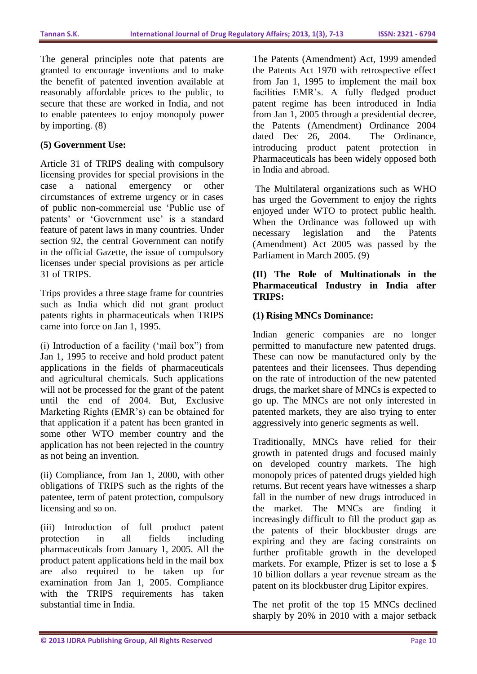The general principles note that patents are granted to encourage inventions and to make the benefit of patented invention available at reasonably affordable prices to the public, to secure that these are worked in India, and not to enable patentees to enjoy monopoly power by importing. (8)

### **(5) Government Use:**

Article 31 of TRIPS dealing with compulsory licensing provides for special provisions in the case a national emergency or other circumstances of extreme urgency or in cases of public non-commercial use 'Public use of patents' or 'Government use' is a standard feature of patent laws in many countries. Under section 92, the central Government can notify in the official Gazette, the issue of compulsory licenses under special provisions as per article 31 of TRIPS.

Trips provides a three stage frame for countries such as India which did not grant product patents rights in pharmaceuticals when TRIPS came into force on Jan 1, 1995.

(i) Introduction of a facility ('mail box") from Jan 1, 1995 to receive and hold product patent applications in the fields of pharmaceuticals and agricultural chemicals. Such applications will not be processed for the grant of the patent until the end of 2004. But, Exclusive Marketing Rights (EMR's) can be obtained for that application if a patent has been granted in some other WTO member country and the application has not been rejected in the country as not being an invention.

(ii) Compliance, from Jan 1, 2000, with other obligations of TRIPS such as the rights of the patentee, term of patent protection, compulsory licensing and so on.

(iii) Introduction of full product patent protection in all fields including pharmaceuticals from January 1, 2005. All the product patent applications held in the mail box are also required to be taken up for examination from Jan 1, 2005. Compliance with the TRIPS requirements has taken substantial time in India.

The Patents (Amendment) Act, 1999 amended the Patents Act 1970 with retrospective effect from Jan 1, 1995 to implement the mail box facilities EMR's. A fully fledged product patent regime has been introduced in India from Jan 1, 2005 through a presidential decree, the Patents (Amendment) Ordinance 2004 dated Dec 26, 2004. The Ordinance, introducing product patent protection in Pharmaceuticals has been widely opposed both in India and abroad.

The Multilateral organizations such as WHO has urged the Government to enjoy the rights enjoyed under WTO to protect public health. When the Ordinance was followed up with necessary legislation and the Patents (Amendment) Act 2005 was passed by the Parliament in March 2005. (9)

### **(II) The Role of Multinationals in the Pharmaceutical Industry in India after TRIPS:**

### **(1) Rising MNCs Dominance:**

Indian generic companies are no longer permitted to manufacture new patented drugs. These can now be manufactured only by the patentees and their licensees. Thus depending on the rate of introduction of the new patented drugs, the market share of MNCs is expected to go up. The MNCs are not only interested in patented markets, they are also trying to enter aggressively into generic segments as well.

Traditionally, MNCs have relied for their growth in patented drugs and focused mainly on developed country markets. The high monopoly prices of patented drugs yielded high returns. But recent years have witnesses a sharp fall in the number of new drugs introduced in the market. The MNCs are finding it increasingly difficult to fill the product gap as the patents of their blockbuster drugs are expiring and they are facing constraints on further profitable growth in the developed markets. For example, Pfizer is set to lose a \$ 10 billion dollars a year revenue stream as the patent on its blockbuster drug Lipitor expires.

The net profit of the top 15 MNCs declined sharply by 20% in 2010 with a major setback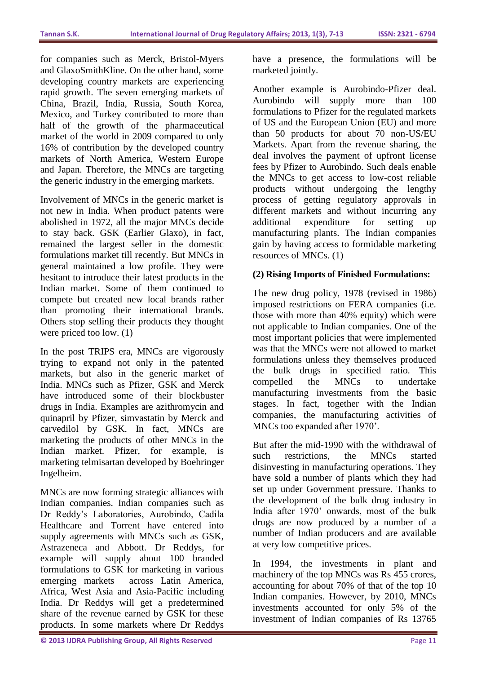for companies such as Merck, Bristol-Myers and GlaxoSmithKline. On the other hand, some developing country markets are experiencing rapid growth. The seven emerging markets of China, Brazil, India, Russia, South Korea, Mexico, and Turkey contributed to more than half of the growth of the pharmaceutical market of the world in 2009 compared to only 16% of contribution by the developed country markets of North America, Western Europe and Japan. Therefore, the MNCs are targeting the generic industry in the emerging markets.

Involvement of MNCs in the generic market is not new in India. When product patents were abolished in 1972, all the major MNCs decide to stay back. GSK (Earlier Glaxo), in fact, remained the largest seller in the domestic formulations market till recently. But MNCs in general maintained a low profile. They were hesitant to introduce their latest products in the Indian market. Some of them continued to compete but created new local brands rather than promoting their international brands. Others stop selling their products they thought were priced too low. (1)

In the post TRIPS era, MNCs are vigorously trying to expand not only in the patented markets, but also in the generic market of India. MNCs such as Pfizer, GSK and Merck have introduced some of their blockbuster drugs in India. Examples are azithromycin and quinapril by Pfizer, simvastatin by Merck and carvedilol by GSK. In fact, MNCs are marketing the products of other MNCs in the Indian market. Pfizer, for example, is marketing telmisartan developed by Boehringer Ingelheim.

MNCs are now forming strategic alliances with Indian companies. Indian companies such as Dr Reddy's Laboratories, Aurobindo, Cadila Healthcare and Torrent have entered into supply agreements with MNCs such as GSK, Astrazeneca and Abbott. Dr Reddys, for example will supply about 100 branded formulations to GSK for marketing in various emerging markets across Latin America, Africa, West Asia and Asia-Pacific including India. Dr Reddys will get a predetermined share of the revenue earned by GSK for these products. In some markets where Dr Reddys

have a presence, the formulations will be marketed jointly.

Another example is Aurobindo-Pfizer deal. Aurobindo will supply more than 100 formulations to Pfizer for the regulated markets of US and the European Union (EU) and more than 50 products for about 70 non-US/EU Markets. Apart from the revenue sharing, the deal involves the payment of upfront license fees by Pfizer to Aurobindo. Such deals enable the MNCs to get access to low-cost reliable products without undergoing the lengthy process of getting regulatory approvals in different markets and without incurring any additional expenditure for setting up manufacturing plants. The Indian companies gain by having access to formidable marketing resources of MNCs. (1)

# **(2) Rising Imports of Finished Formulations:**

The new drug policy, 1978 (revised in 1986) imposed restrictions on FERA companies (i.e. those with more than 40% equity) which were not applicable to Indian companies. One of the most important policies that were implemented was that the MNCs were not allowed to market formulations unless they themselves produced the bulk drugs in specified ratio. This compelled the MNCs to undertake manufacturing investments from the basic stages. In fact, together with the Indian companies, the manufacturing activities of MNCs too expanded after 1970'.

But after the mid-1990 with the withdrawal of such restrictions, the MNCs started disinvesting in manufacturing operations. They have sold a number of plants which they had set up under Government pressure. Thanks to the development of the bulk drug industry in India after 1970' onwards, most of the bulk drugs are now produced by a number of a number of Indian producers and are available at very low competitive prices.

In 1994, the investments in plant and machinery of the top MNCs was Rs 455 crores, accounting for about 70% of that of the top 10 Indian companies. However, by 2010, MNCs investments accounted for only 5% of the investment of Indian companies of Rs 13765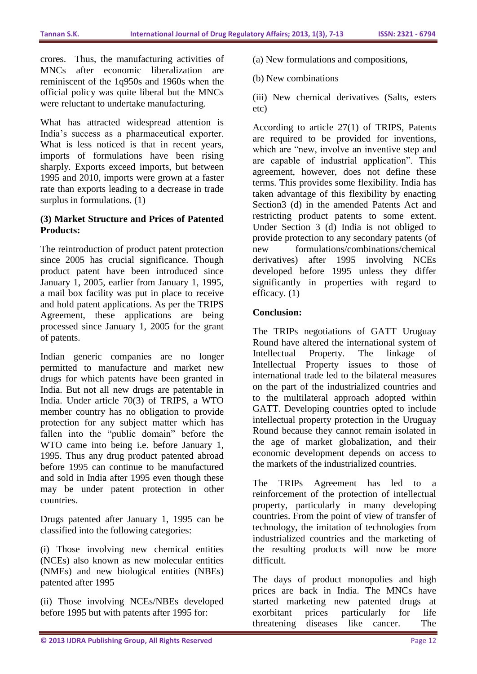crores. Thus, the manufacturing activities of MNCs after economic liberalization are reminiscent of the 1q950s and 1960s when the official policy was quite liberal but the MNCs were reluctant to undertake manufacturing.

What has attracted widespread attention is India's success as a pharmaceutical exporter. What is less noticed is that in recent years, imports of formulations have been rising sharply. Exports exceed imports, but between 1995 and 2010, imports were grown at a faster rate than exports leading to a decrease in trade surplus in formulations. (1)

### **(3) Market Structure and Prices of Patented Products:**

The reintroduction of product patent protection since 2005 has crucial significance. Though product patent have been introduced since January 1, 2005, earlier from January 1, 1995, a mail box facility was put in place to receive and hold patent applications. As per the TRIPS Agreement, these applications are being processed since January 1, 2005 for the grant of patents.

Indian generic companies are no longer permitted to manufacture and market new drugs for which patents have been granted in India. But not all new drugs are patentable in India. Under article 70(3) of TRIPS, a WTO member country has no obligation to provide protection for any subject matter which has fallen into the "public domain" before the WTO came into being i.e. before January 1, 1995. Thus any drug product patented abroad before 1995 can continue to be manufactured and sold in India after 1995 even though these may be under patent protection in other countries.

Drugs patented after January 1, 1995 can be classified into the following categories:

(i) Those involving new chemical entities (NCEs) also known as new molecular entities (NMEs) and new biological entities (NBEs) patented after 1995

(ii) Those involving NCEs/NBEs developed before 1995 but with patents after 1995 for:

- (a) New formulations and compositions,
- (b) New combinations

(iii) New chemical derivatives (Salts, esters etc)

According to article 27(1) of TRIPS, Patents are required to be provided for inventions, which are "new, involve an inventive step and are capable of industrial application". This agreement, however, does not define these terms. This provides some flexibility. India has taken advantage of this flexibility by enacting Section3 (d) in the amended Patents Act and restricting product patents to some extent. Under Section 3 (d) India is not obliged to provide protection to any secondary patents (of new formulations/combinations/chemical derivatives) after 1995 involving NCEs developed before 1995 unless they differ significantly in properties with regard to efficacy. (1)

# **Conclusion:**

The TRIPs negotiations of GATT Uruguay Round have altered the international system of Intellectual Property. The linkage of Intellectual Property issues to those of international trade led to the bilateral measures on the part of the industrialized countries and to the multilateral approach adopted within GATT. Developing countries opted to include intellectual property protection in the Uruguay Round because they cannot remain isolated in the age of market globalization, and their economic development depends on access to the markets of the industrialized countries.

The TRIPs Agreement has led to a reinforcement of the protection of intellectual property, particularly in many developing countries. From the point of view of transfer of technology, the imitation of technologies from industrialized countries and the marketing of the resulting products will now be more difficult.

The days of product monopolies and high prices are back in India. The MNCs have started marketing new patented drugs at exorbitant prices particularly for life threatening diseases like cancer. The